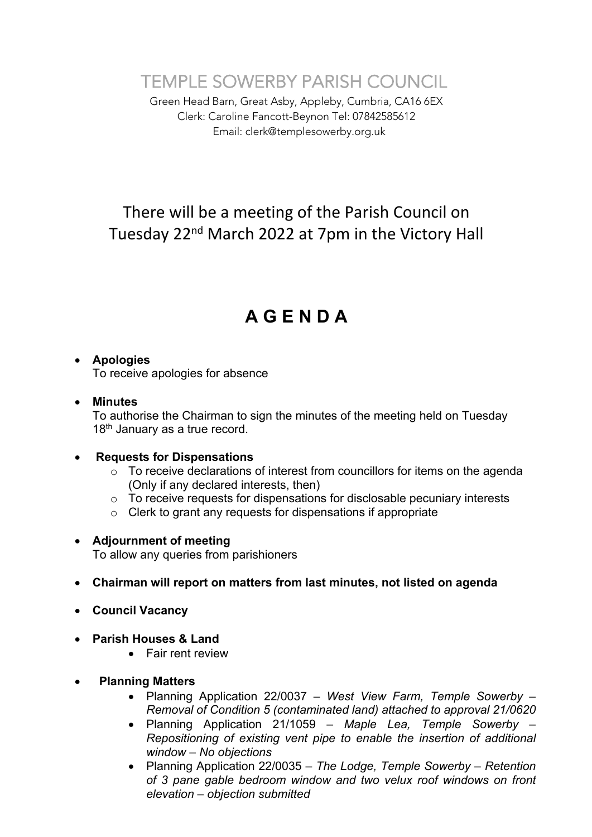TEMPLE SOWERBY PARISH COUNCIL

Green Head Barn, Great Asby, Appleby, Cumbria, CA16 6EX Clerk: Caroline Fancott-Beynon Tel: 07842585612 Email: clerk@templesowerby.org.uk

# There will be a meeting of the Parish Council on Tuesday 22nd March 2022 at 7pm in the Victory Hall

# **A G E N D A**

# • **Apologies**

To receive apologies for absence

#### • **Minutes**

To authorise the Chairman to sign the minutes of the meeting held on Tuesday 18<sup>th</sup> January as a true record.

#### • **Requests for Dispensations**

- o To receive declarations of interest from councillors for items on the agenda (Only if any declared interests, then)
- o To receive requests for dispensations for disclosable pecuniary interests
- o Clerk to grant any requests for dispensations if appropriate

# • **Adjournment of meeting**

To allow any queries from parishioners

# • **Chairman will report on matters from last minutes, not listed on agenda**

- **Council Vacancy**
- **Parish Houses & Land**
	- Fair rent review
- • **Planning Matters**
	- Planning Application 22/0037 *– West View Farm, Temple Sowerby – Removal of Condition 5 (contaminated land) attached to approval 21/0620*
	- Planning Application 21/1059 *– Maple Lea, Temple Sowerby – Repositioning of existing vent pipe to enable the insertion of additional window – No objections*
	- Planning Application 22/0035 *– The Lodge, Temple Sowerby – Retention of 3 pane gable bedroom window and two velux roof windows on front elevation – objection submitted*